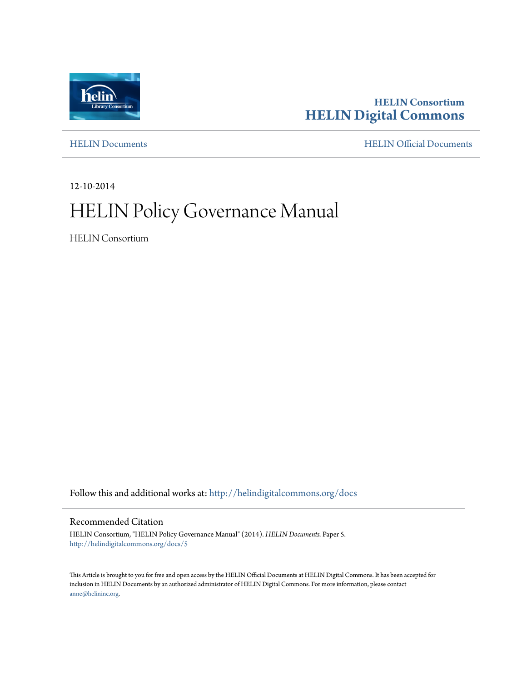

#### **HELIN Consortium [HELIN Digital Commons](http://helindigitalcommons.org?utm_source=helindigitalcommons.org%2Fdocs%2F5&utm_medium=PDF&utm_campaign=PDFCoverPages)**

[HELIN Documents](http://helindigitalcommons.org/docs?utm_source=helindigitalcommons.org%2Fdocs%2F5&utm_medium=PDF&utm_campaign=PDFCoverPages) [HELIN Official Documents](http://helindigitalcommons.org/documents?utm_source=helindigitalcommons.org%2Fdocs%2F5&utm_medium=PDF&utm_campaign=PDFCoverPages)

12-10-2014

## HELIN Policy Governance Manual

HELIN Consortium

Follow this and additional works at: [http://helindigitalcommons.org/docs](http://helindigitalcommons.org/docs?utm_source=helindigitalcommons.org%2Fdocs%2F5&utm_medium=PDF&utm_campaign=PDFCoverPages)

#### Recommended Citation

HELIN Consortium, "HELIN Policy Governance Manual" (2014). *HELIN Documents.* Paper 5. [http://helindigitalcommons.org/docs/5](http://helindigitalcommons.org/docs/5?utm_source=helindigitalcommons.org%2Fdocs%2F5&utm_medium=PDF&utm_campaign=PDFCoverPages)

This Article is brought to you for free and open access by the HELIN Official Documents at HELIN Digital Commons. It has been accepted for inclusion in HELIN Documents by an authorized administrator of HELIN Digital Commons. For more information, please contact [anne@helininc.org.](mailto:anne@helininc.org)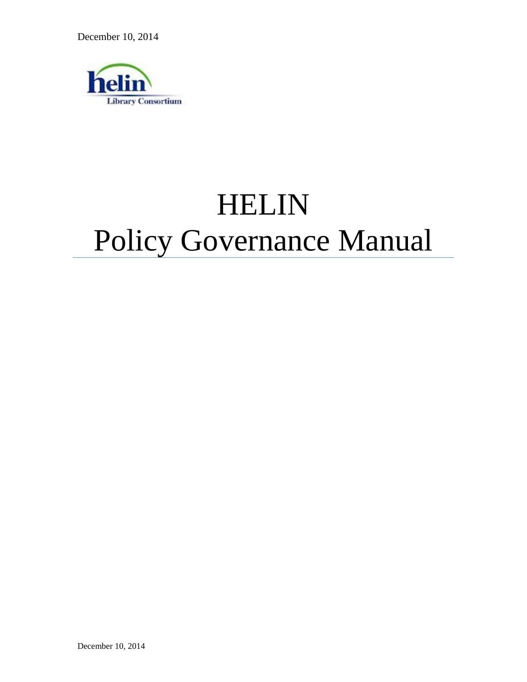December 10, 2014



# HELIN Policy Governance Manual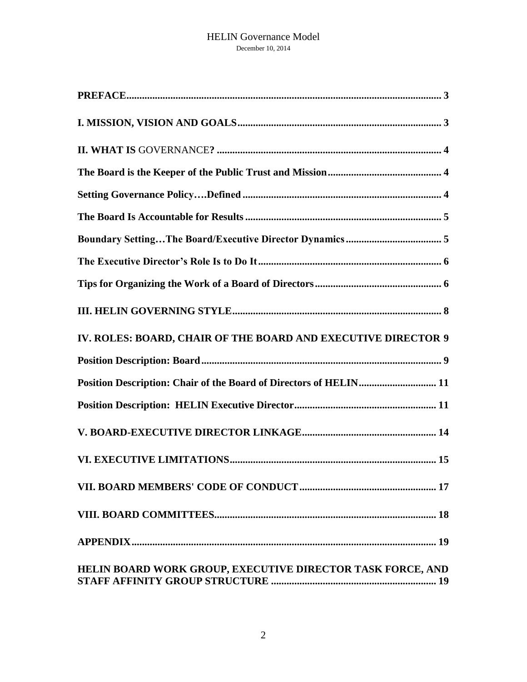| IV. ROLES: BOARD, CHAIR OF THE BOARD AND EXECUTIVE DIRECTOR 9     |
|-------------------------------------------------------------------|
|                                                                   |
| Position Description: Chair of the Board of Directors of HELIN 11 |
|                                                                   |
|                                                                   |
|                                                                   |
|                                                                   |
|                                                                   |
|                                                                   |
| HELIN BOARD WORK GROUP, EXECUTIVE DIRECTOR TASK FORCE, AND        |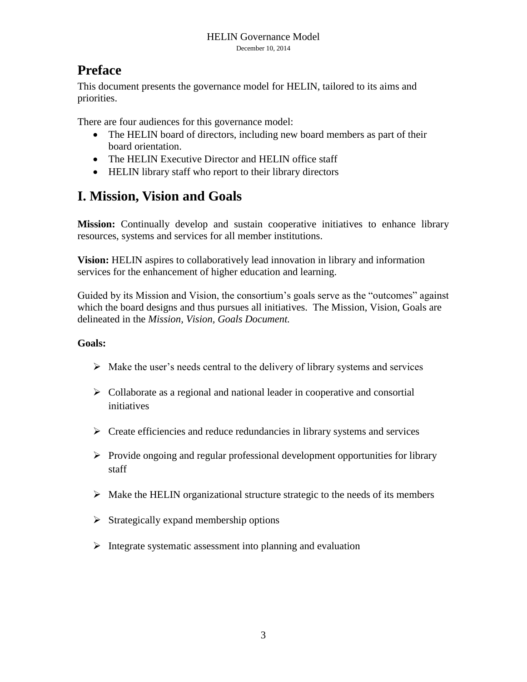## <span id="page-3-0"></span>**Preface**

This document presents the governance model for HELIN, tailored to its aims and priorities.

There are four audiences for this governance model:

- The HELIN board of directors, including new board members as part of their board orientation.
- The HELIN Executive Director and HELIN office staff
- HELIN library staff who report to their library directors

## <span id="page-3-1"></span>**I. Mission, Vision and Goals**

**Mission:** Continually develop and sustain cooperative initiatives to enhance library resources, systems and services for all member institutions.

**Vision:** HELIN aspires to collaboratively lead innovation in library and information services for the enhancement of higher education and learning.

Guided by its Mission and Vision, the consortium's goals serve as the "outcomes" against which the board designs and thus pursues all initiatives. The Mission, Vision, Goals are delineated in the *Mission, Vision, Goals Document.*

#### **Goals:**

- $\triangleright$  Make the user's needs central to the delivery of library systems and services
- $\triangleright$  Collaborate as a regional and national leader in cooperative and consortial initiatives
- $\triangleright$  Create efficiencies and reduce redundancies in library systems and services
- $\triangleright$  Provide ongoing and regular professional development opportunities for library staff
- $\triangleright$  Make the HELIN organizational structure strategic to the needs of its members
- $\triangleright$  Strategically expand membership options
- $\triangleright$  Integrate systematic assessment into planning and evaluation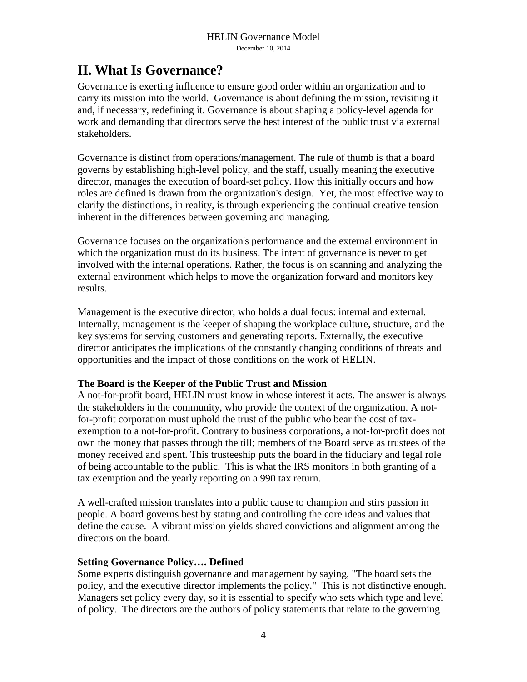## <span id="page-4-0"></span>**II. What Is Governance?**

Governance is exerting influence to ensure good order within an organization and to carry its mission into the world. Governance is about defining the mission, revisiting it and, if necessary, redefining it. Governance is about shaping a policy-level agenda for work and demanding that directors serve the best interest of the public trust via external stakeholders.

Governance is distinct from operations/management. The rule of thumb is that a board governs by establishing high-level policy, and the staff, usually meaning the executive director, manages the execution of board-set policy. How this initially occurs and how roles are defined is drawn from the organization's design. Yet, the most effective way to clarify the distinctions, in reality, is through experiencing the continual creative tension inherent in the differences between governing and managing.

Governance focuses on the organization's performance and the external environment in which the organization must do its business. The intent of governance is never to get involved with the internal operations. Rather, the focus is on scanning and analyzing the external environment which helps to move the organization forward and monitors key results.

Management is the executive director, who holds a dual focus: internal and external. Internally, management is the keeper of shaping the workplace culture, structure, and the key systems for serving customers and generating reports. Externally, the executive director anticipates the implications of the constantly changing conditions of threats and opportunities and the impact of those conditions on the work of HELIN.

#### <span id="page-4-1"></span>**The Board is the Keeper of the Public Trust and Mission**

A not-for-profit board, HELIN must know in whose interest it acts. The answer is always the stakeholders in the community, who provide the context of the organization. A notfor-profit corporation must uphold the trust of the public who bear the cost of taxexemption to a not-for-profit. Contrary to business corporations, a not-for-profit does not own the money that passes through the till; members of the Board serve as trustees of the money received and spent. This trusteeship puts the board in the fiduciary and legal role of being accountable to the public. This is what the IRS monitors in both granting of a tax exemption and the yearly reporting on a 990 tax return.

A well-crafted mission translates into a public cause to champion and stirs passion in people. A board governs best by stating and controlling the core ideas and values that define the cause. A vibrant mission yields shared convictions and alignment among the directors on the board.

#### <span id="page-4-2"></span>**Setting Governance Policy…. Defined**

Some experts distinguish governance and management by saying, "The board sets the policy, and the executive director implements the policy." This is not distinctive enough. Managers set policy every day, so it is essential to specify who sets which type and level of policy. The directors are the authors of policy statements that relate to the governing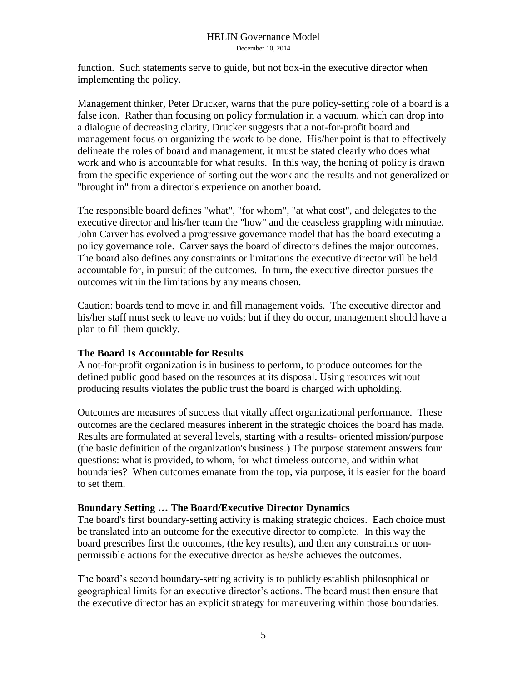function. Such statements serve to guide, but not box-in the executive director when implementing the policy.

Management thinker, Peter Drucker, warns that the pure policy-setting role of a board is a false icon. Rather than focusing on policy formulation in a vacuum, which can drop into a dialogue of decreasing clarity, Drucker suggests that a not-for-profit board and management focus on organizing the work to be done. His/her point is that to effectively delineate the roles of board and management, it must be stated clearly who does what work and who is accountable for what results. In this way, the honing of policy is drawn from the specific experience of sorting out the work and the results and not generalized or "brought in" from a director's experience on another board.

The responsible board defines "what", "for whom", "at what cost", and delegates to the executive director and his/her team the "how" and the ceaseless grappling with minutiae. John Carver has evolved a progressive governance model that has the board executing a policy governance role. Carver says the board of directors defines the major outcomes. The board also defines any constraints or limitations the executive director will be held accountable for, in pursuit of the outcomes. In turn, the executive director pursues the outcomes within the limitations by any means chosen.

Caution: boards tend to move in and fill management voids. The executive director and his/her staff must seek to leave no voids; but if they do occur, management should have a plan to fill them quickly.

#### <span id="page-5-0"></span>**The Board Is Accountable for Results**

A not-for-profit organization is in business to perform, to produce outcomes for the defined public good based on the resources at its disposal. Using resources without producing results violates the public trust the board is charged with upholding.

Outcomes are measures of success that vitally affect organizational performance. These outcomes are the declared measures inherent in the strategic choices the board has made. Results are formulated at several levels, starting with a results- oriented mission/purpose (the basic definition of the organization's business.) The purpose statement answers four questions: what is provided, to whom, for what timeless outcome, and within what boundaries? When outcomes emanate from the top, via purpose, it is easier for the board to set them.

#### <span id="page-5-1"></span>**Boundary Setting … The Board/Executive Director Dynamics**

The board's first boundary-setting activity is making strategic choices. Each choice must be translated into an outcome for the executive director to complete. In this way the board prescribes first the outcomes, (the key results), and then any constraints or nonpermissible actions for the executive director as he/she achieves the outcomes.

The board's second boundary-setting activity is to publicly establish philosophical or geographical limits for an executive director's actions. The board must then ensure that the executive director has an explicit strategy for maneuvering within those boundaries.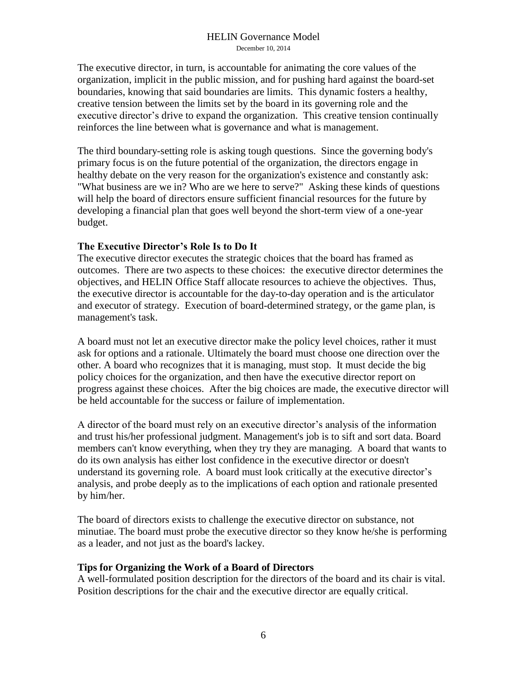The executive director, in turn, is accountable for animating the core values of the organization, implicit in the public mission, and for pushing hard against the board-set boundaries, knowing that said boundaries are limits. This dynamic fosters a healthy, creative tension between the limits set by the board in its governing role and the executive director's drive to expand the organization. This creative tension continually reinforces the line between what is governance and what is management.

The third boundary-setting role is asking tough questions. Since the governing body's primary focus is on the future potential of the organization, the directors engage in healthy debate on the very reason for the organization's existence and constantly ask: "What business are we in? Who are we here to serve?" Asking these kinds of questions will help the board of directors ensure sufficient financial resources for the future by developing a financial plan that goes well beyond the short-term view of a one-year budget.

#### <span id="page-6-0"></span>**The Executive Director's Role Is to Do It**

The executive director executes the strategic choices that the board has framed as outcomes. There are two aspects to these choices: the executive director determines the objectives, and HELIN Office Staff allocate resources to achieve the objectives. Thus, the executive director is accountable for the day-to-day operation and is the articulator and executor of strategy. Execution of board-determined strategy, or the game plan, is management's task.

A board must not let an executive director make the policy level choices, rather it must ask for options and a rationale. Ultimately the board must choose one direction over the other. A board who recognizes that it is managing, must stop. It must decide the big policy choices for the organization, and then have the executive director report on progress against these choices. After the big choices are made, the executive director will be held accountable for the success or failure of implementation.

A director of the board must rely on an executive director's analysis of the information and trust his/her professional judgment. Management's job is to sift and sort data. Board members can't know everything, when they try they are managing. A board that wants to do its own analysis has either lost confidence in the executive director or doesn't understand its governing role. A board must look critically at the executive director's analysis, and probe deeply as to the implications of each option and rationale presented by him/her.

The board of directors exists to challenge the executive director on substance, not minutiae. The board must probe the executive director so they know he/she is performing as a leader, and not just as the board's lackey.

#### <span id="page-6-1"></span>**Tips for Organizing the Work of a Board of Directors**

A well-formulated position description for the directors of the board and its chair is vital. Position descriptions for the chair and the executive director are equally critical.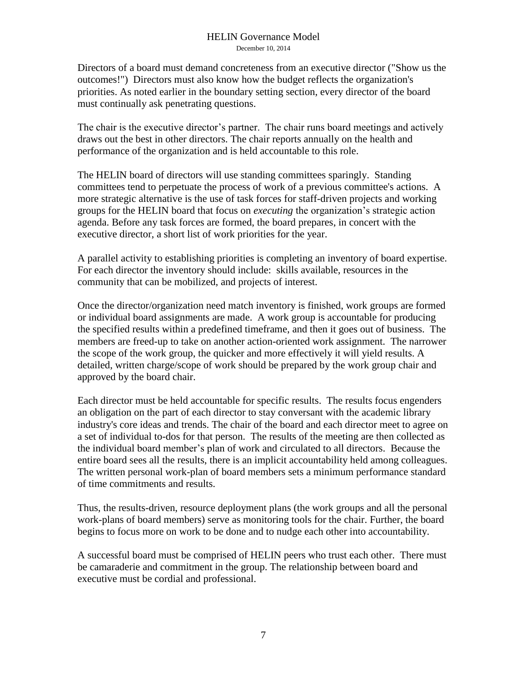Directors of a board must demand concreteness from an executive director ("Show us the outcomes!") Directors must also know how the budget reflects the organization's priorities. As noted earlier in the boundary setting section, every director of the board must continually ask penetrating questions.

The chair is the executive director's partner. The chair runs board meetings and actively draws out the best in other directors. The chair reports annually on the health and performance of the organization and is held accountable to this role.

The HELIN board of directors will use standing committees sparingly. Standing committees tend to perpetuate the process of work of a previous committee's actions. A more strategic alternative is the use of task forces for staff-driven projects and working groups for the HELIN board that focus on *executing* the organization's strategic action agenda. Before any task forces are formed, the board prepares, in concert with the executive director, a short list of work priorities for the year.

A parallel activity to establishing priorities is completing an inventory of board expertise. For each director the inventory should include: skills available, resources in the community that can be mobilized, and projects of interest.

Once the director/organization need match inventory is finished, work groups are formed or individual board assignments are made. A work group is accountable for producing the specified results within a predefined timeframe, and then it goes out of business. The members are freed-up to take on another action-oriented work assignment. The narrower the scope of the work group, the quicker and more effectively it will yield results. A detailed, written charge/scope of work should be prepared by the work group chair and approved by the board chair.

Each director must be held accountable for specific results. The results focus engenders an obligation on the part of each director to stay conversant with the academic library industry's core ideas and trends. The chair of the board and each director meet to agree on a set of individual to-dos for that person. The results of the meeting are then collected as the individual board member's plan of work and circulated to all directors. Because the entire board sees all the results, there is an implicit accountability held among colleagues. The written personal work-plan of board members sets a minimum performance standard of time commitments and results.

Thus, the results-driven, resource deployment plans (the work groups and all the personal work-plans of board members) serve as monitoring tools for the chair. Further, the board begins to focus more on work to be done and to nudge each other into accountability.

A successful board must be comprised of HELIN peers who trust each other. There must be camaraderie and commitment in the group. The relationship between board and executive must be cordial and professional.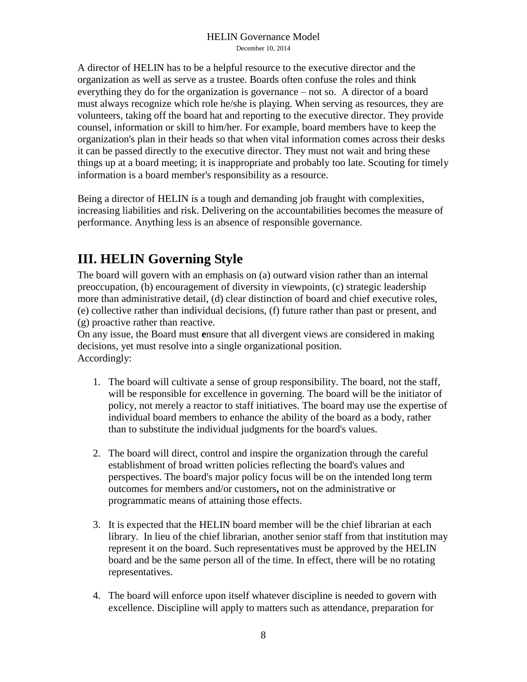A director of HELIN has to be a helpful resource to the executive director and the organization as well as serve as a trustee. Boards often confuse the roles and think everything they do for the organization is governance – not so. A director of a board must always recognize which role he/she is playing. When serving as resources, they are volunteers, taking off the board hat and reporting to the executive director. They provide counsel, information or skill to him/her. For example, board members have to keep the organization's plan in their heads so that when vital information comes across their desks it can be passed directly to the executive director. They must not wait and bring these things up at a board meeting; it is inappropriate and probably too late. Scouting for timely information is a board member's responsibility as a resource.

Being a director of HELIN is a tough and demanding job fraught with complexities, increasing liabilities and risk. Delivering on the accountabilities becomes the measure of performance. Anything less is an absence of responsible governance.

## <span id="page-8-0"></span>**III. HELIN Governing Style**

The board will govern with an emphasis on (a) outward vision rather than an internal preoccupation, (b) encouragement of diversity in viewpoints, (c) strategic leadership more than administrative detail, (d) clear distinction of board and chief executive roles, (e) collective rather than individual decisions, (f) future rather than past or present, and (g) proactive rather than reactive.

On any issue, the Board must **e**nsure that all divergent views are considered in making decisions, yet must resolve into a single organizational position. Accordingly:

- 1. The board will cultivate a sense of group responsibility. The board, not the staff, will be responsible for excellence in governing. The board will be the initiator of policy, not merely a reactor to staff initiatives. The board may use the expertise of individual board members to enhance the ability of the board as a body, rather than to substitute the individual judgments for the board's values.
- 2. The board will direct, control and inspire the organization through the careful establishment of broad written policies reflecting the board's values and perspectives. The board's major policy focus will be on the intended long term outcomes for members and/or customers**,** not on the administrative or programmatic means of attaining those effects.
- 3. It is expected that the HELIN board member will be the chief librarian at each library. In lieu of the chief librarian, another senior staff from that institution may represent it on the board. Such representatives must be approved by the HELIN board and be the same person all of the time. In effect, there will be no rotating representatives.
- 4. The board will enforce upon itself whatever discipline is needed to govern with excellence. Discipline will apply to matters such as attendance, preparation for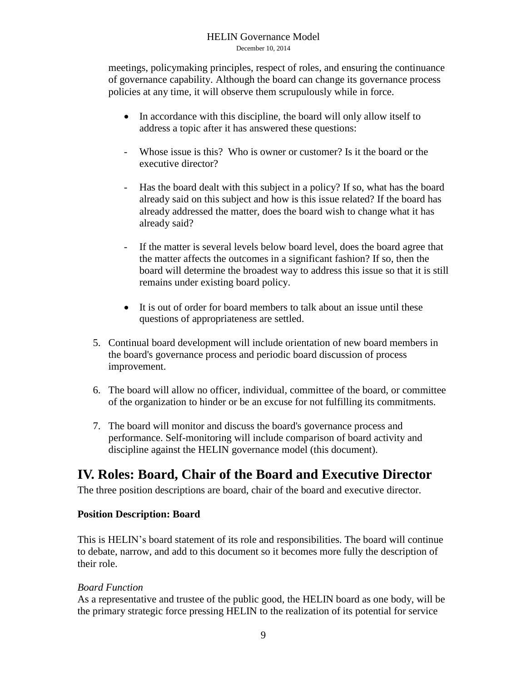meetings, policymaking principles, respect of roles, and ensuring the continuance of governance capability. Although the board can change its governance process policies at any time, it will observe them scrupulously while in force.

- In accordance with this discipline, the board will only allow itself to address a topic after it has answered these questions:
- Whose issue is this? Who is owner or customer? Is it the board or the executive director?
- Has the board dealt with this subject in a policy? If so, what has the board already said on this subject and how is this issue related? If the board has already addressed the matter, does the board wish to change what it has already said?
- If the matter is several levels below board level, does the board agree that the matter affects the outcomes in a significant fashion? If so, then the board will determine the broadest way to address this issue so that it is still remains under existing board policy.
- It is out of order for board members to talk about an issue until these questions of appropriateness are settled.
- 5. Continual board development will include orientation of new board members in the board's governance process and periodic board discussion of process improvement.
- 6. The board will allow no officer, individual, committee of the board, or committee of the organization to hinder or be an excuse for not fulfilling its commitments.
- 7. The board will monitor and discuss the board's governance process and performance. Self-monitoring will include comparison of board activity and discipline against the HELIN governance model (this document).

## <span id="page-9-0"></span>**IV. Roles: Board, Chair of the Board and Executive Director**

The three position descriptions are board, chair of the board and executive director.

#### <span id="page-9-1"></span>**Position Description: Board**

This is HELIN's board statement of its role and responsibilities. The board will continue to debate, narrow, and add to this document so it becomes more fully the description of their role.

#### *Board Function*

As a representative and trustee of the public good, the HELIN board as one body, will be the primary strategic force pressing HELIN to the realization of its potential for service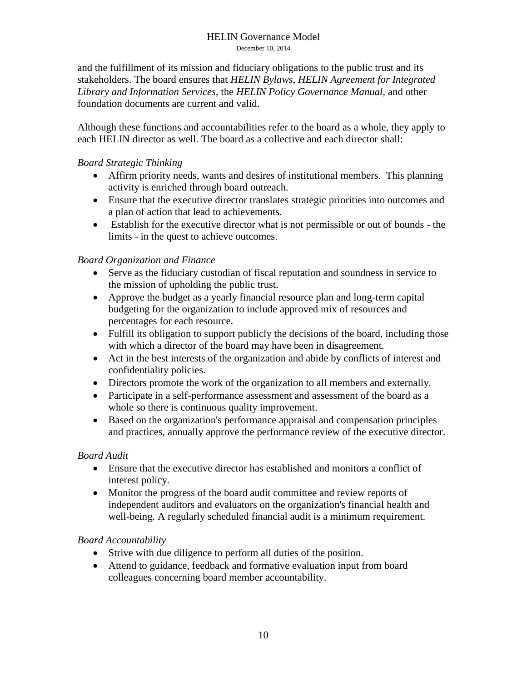and the fulfillment of its mission and fiduciary obligations to the public trust and its stakeholders. The board ensures that *HELIN Bylaws*, *HELIN Agreement for Integrated Library and Information Services,* the *HELIN Policy Governance Manual,* and other foundation documents are current and valid.

Although these functions and accountabilities refer to the board as a whole, they apply to each HELIN director as well. The board as a collective and each director shall:

#### *Board Strategic Thinking*

- Affirm priority needs, wants and desires of institutional members. This planning activity is enriched through board outreach.
- Ensure that the executive director translates strategic priorities into outcomes and a plan of action that lead to achievements.
- Establish for the executive director what is not permissible or out of bounds the limits - in the quest to achieve outcomes.

#### *Board Organization and Finance*

- Serve as the fiduciary custodian of fiscal reputation and soundness in service to the mission of upholding the public trust.
- Approve the budget as a yearly financial resource plan and long-term capital budgeting for the organization to include approved mix of resources and percentages for each resource.
- Fulfill its obligation to support publicly the decisions of the board, including those with which a director of the board may have been in disagreement.
- Act in the best interests of the organization and abide by conflicts of interest and confidentiality policies.
- Directors promote the work of the organization to all members and externally.
- Participate in a self-performance assessment and assessment of the board as a whole so there is continuous quality improvement.
- Based on the organization's performance appraisal and compensation principles and practices, annually approve the performance review of the executive director.

#### *Board Audit*

- Ensure that the executive director has established and monitors a conflict of interest policy.
- Monitor the progress of the board audit committee and review reports of independent auditors and evaluators on the organization's financial health and well-being. A regularly scheduled financial audit is a minimum requirement.

#### *Board Accountability*

- Strive with due diligence to perform all duties of the position.
- Attend to guidance, feedback and formative evaluation input from board colleagues concerning board member accountability.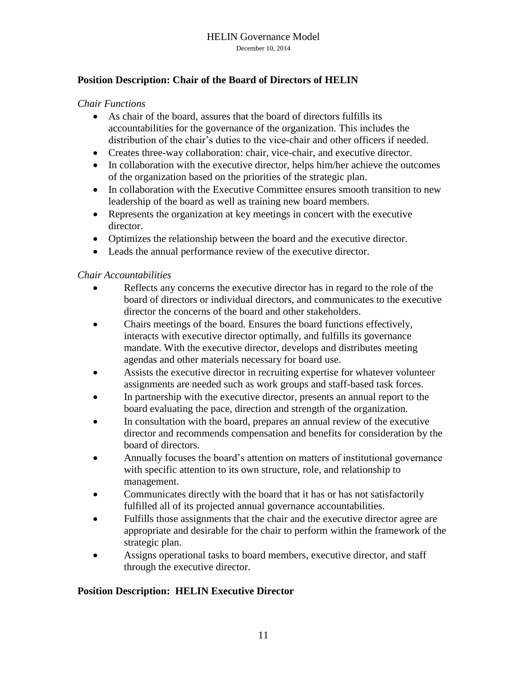#### <span id="page-11-0"></span>**Position Description: Chair of the Board of Directors of HELIN**

#### *Chair Functions*

- As chair of the board, assures that the board of directors fulfills its accountabilities for the governance of the organization. This includes the distribution of the chair's duties to the vice-chair and other officers if needed.
- Creates three-way collaboration: chair, vice-chair, and executive director.
- In collaboration with the executive director, helps him/her achieve the outcomes of the organization based on the priorities of the strategic plan.
- In collaboration with the Executive Committee ensures smooth transition to new leadership of the board as well as training new board members.
- Represents the organization at key meetings in concert with the executive director.
- Optimizes the relationship between the board and the executive director.
- Leads the annual performance review of the executive director.

#### *Chair Accountabilities*

- Reflects any concerns the executive director has in regard to the role of the board of directors or individual directors, and communicates to the executive director the concerns of the board and other stakeholders.
- Chairs meetings of the board. Ensures the board functions effectively, interacts with executive director optimally, and fulfills its governance mandate. With the executive director, develops and distributes meeting agendas and other materials necessary for board use.
- Assists the executive director in recruiting expertise for whatever volunteer assignments are needed such as work groups and staff-based task forces.
- In partnership with the executive director, presents an annual report to the board evaluating the pace, direction and strength of the organization.
- In consultation with the board, prepares an annual review of the executive director and recommends compensation and benefits for consideration by the board of directors.
- Annually focuses the board's attention on matters of institutional governance with specific attention to its own structure, role, and relationship to management.
- Communicates directly with the board that it has or has not satisfactorily fulfilled all of its projected annual governance accountabilities.
- Fulfills those assignments that the chair and the executive director agree are appropriate and desirable for the chair to perform within the framework of the strategic plan.
- Assigns operational tasks to board members, executive director, and staff through the executive director.

#### <span id="page-11-1"></span>**Position Description: HELIN Executive Director**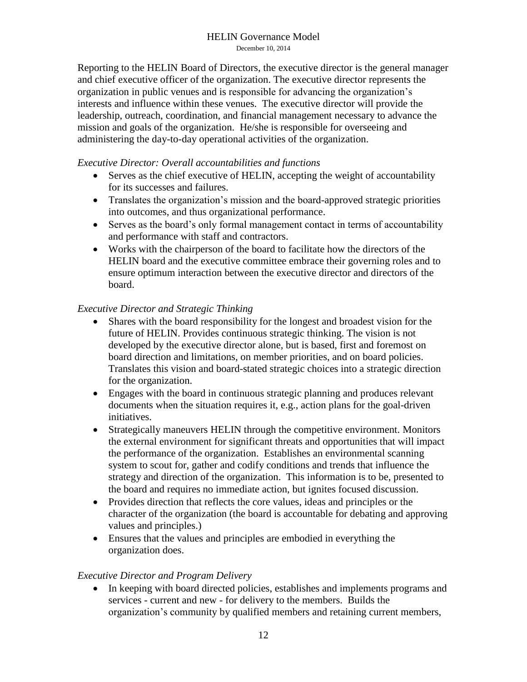Reporting to the HELIN Board of Directors, the executive director is the general manager and chief executive officer of the organization. The executive director represents the organization in public venues and is responsible for advancing the organization's interests and influence within these venues. The executive director will provide the leadership, outreach, coordination, and financial management necessary to advance the mission and goals of the organization. He/she is responsible for overseeing and administering the day-to-day operational activities of the organization.

#### *Executive Director: Overall accountabilities and functions*

- Serves as the chief executive of HELIN, accepting the weight of accountability for its successes and failures.
- Translates the organization's mission and the board-approved strategic priorities into outcomes, and thus organizational performance.
- Serves as the board's only formal management contact in terms of accountability and performance with staff and contractors.
- Works with the chairperson of the board to facilitate how the directors of the HELIN board and the executive committee embrace their governing roles and to ensure optimum interaction between the executive director and directors of the board.

#### *Executive Director and Strategic Thinking*

- Shares with the board responsibility for the longest and broadest vision for the future of HELIN. Provides continuous strategic thinking. The vision is not developed by the executive director alone, but is based, first and foremost on board direction and limitations, on member priorities, and on board policies. Translates this vision and board-stated strategic choices into a strategic direction for the organization.
- Engages with the board in continuous strategic planning and produces relevant documents when the situation requires it, e.g., action plans for the goal-driven initiatives.
- Strategically maneuvers HELIN through the competitive environment. Monitors the external environment for significant threats and opportunities that will impact the performance of the organization. Establishes an environmental scanning system to scout for, gather and codify conditions and trends that influence the strategy and direction of the organization. This information is to be, presented to the board and requires no immediate action, but ignites focused discussion.
- Provides direction that reflects the core values, ideas and principles or the character of the organization (the board is accountable for debating and approving values and principles.)
- Ensures that the values and principles are embodied in everything the organization does.

#### *Executive Director and Program Delivery*

 In keeping with board directed policies, establishes and implements programs and services - current and new - for delivery to the members. Builds the organization's community by qualified members and retaining current members,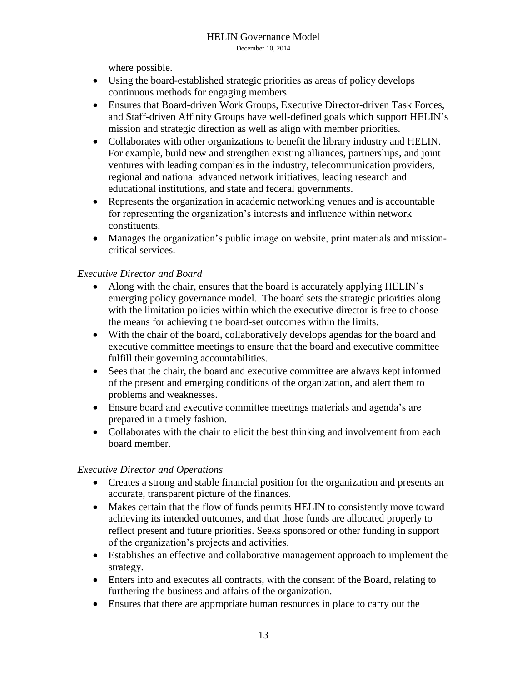where possible.

- Using the board-established strategic priorities as areas of policy develops continuous methods for engaging members.
- Ensures that Board-driven Work Groups, Executive Director-driven Task Forces, and Staff-driven Affinity Groups have well-defined goals which support HELIN's mission and strategic direction as well as align with member priorities.
- Collaborates with other organizations to benefit the library industry and HELIN. For example, build new and strengthen existing alliances, partnerships, and joint ventures with leading companies in the industry, telecommunication providers, regional and national advanced network initiatives, leading research and educational institutions, and state and federal governments.
- Represents the organization in academic networking venues and is accountable for representing the organization's interests and influence within network constituents.
- Manages the organization's public image on website, print materials and missioncritical services.

#### *Executive Director and Board*

- Along with the chair, ensures that the board is accurately applying HELIN's emerging policy governance model. The board sets the strategic priorities along with the limitation policies within which the executive director is free to choose the means for achieving the board-set outcomes within the limits.
- With the chair of the board, collaboratively develops agendas for the board and executive committee meetings to ensure that the board and executive committee fulfill their governing accountabilities.
- Sees that the chair, the board and executive committee are always kept informed of the present and emerging conditions of the organization, and alert them to problems and weaknesses.
- Ensure board and executive committee meetings materials and agenda's are prepared in a timely fashion.
- Collaborates with the chair to elicit the best thinking and involvement from each board member.

#### *Executive Director and Operations*

- Creates a strong and stable financial position for the organization and presents an accurate, transparent picture of the finances.
- Makes certain that the flow of funds permits HELIN to consistently move toward achieving its intended outcomes, and that those funds are allocated properly to reflect present and future priorities. Seeks sponsored or other funding in support of the organization's projects and activities.
- Establishes an effective and collaborative management approach to implement the strategy.
- Enters into and executes all contracts, with the consent of the Board, relating to furthering the business and affairs of the organization.
- Ensures that there are appropriate human resources in place to carry out the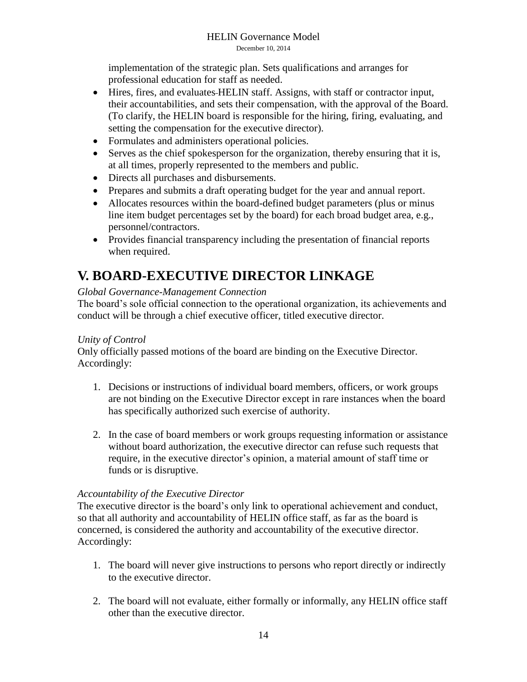implementation of the strategic plan. Sets qualifications and arranges for professional education for staff as needed.

- Hires, fires, and evaluates HELIN staff. Assigns, with staff or contractor input, their accountabilities, and sets their compensation, with the approval of the Board. (To clarify, the HELIN board is responsible for the hiring, firing, evaluating, and setting the compensation for the executive director).
- Formulates and administers operational policies.
- Serves as the chief spokesperson for the organization, thereby ensuring that it is, at all times, properly represented to the members and public.
- Directs all purchases and disbursements.
- Prepares and submits a draft operating budget for the year and annual report.
- Allocates resources within the board-defined budget parameters (plus or minus line item budget percentages set by the board) for each broad budget area, e.g., personnel/contractors.
- Provides financial transparency including the presentation of financial reports when required.

## <span id="page-14-0"></span>**V. BOARD-EXECUTIVE DIRECTOR LINKAGE**

#### *Global Governance-Management Connection*

The board's sole official connection to the operational organization, its achievements and conduct will be through a chief executive officer, titled executive director.

#### *Unity of Control*

Only officially passed motions of the board are binding on the Executive Director. Accordingly:

- 1. Decisions or instructions of individual board members, officers, or work groups are not binding on the Executive Director except in rare instances when the board has specifically authorized such exercise of authority.
- 2. In the case of board members or work groups requesting information or assistance without board authorization, the executive director can refuse such requests that require, in the executive director's opinion, a material amount of staff time or funds or is disruptive.

#### *Accountability of the Executive Director*

The executive director is the board's only link to operational achievement and conduct, so that all authority and accountability of HELIN office staff, as far as the board is concerned, is considered the authority and accountability of the executive director. Accordingly:

- 1. The board will never give instructions to persons who report directly or indirectly to the executive director.
- 2. The board will not evaluate, either formally or informally, any HELIN office staff other than the executive director.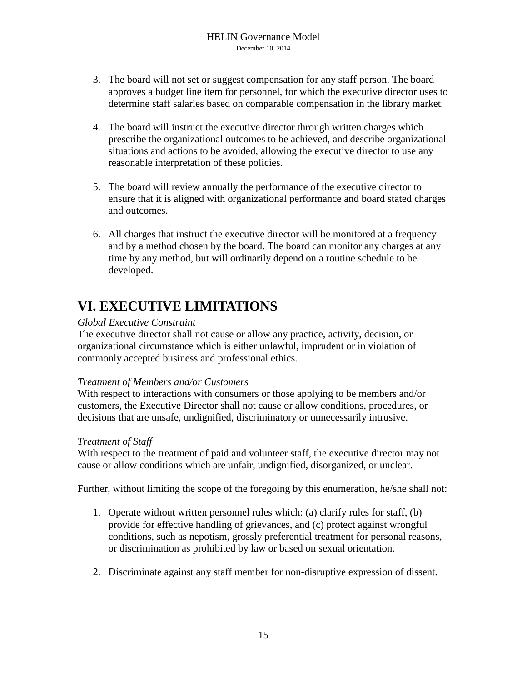- 3. The board will not set or suggest compensation for any staff person. The board approves a budget line item for personnel, for which the executive director uses to determine staff salaries based on comparable compensation in the library market.
- 4. The board will instruct the executive director through written charges which prescribe the organizational outcomes to be achieved, and describe organizational situations and actions to be avoided, allowing the executive director to use any reasonable interpretation of these policies.
- 5. The board will review annually the performance of the executive director to ensure that it is aligned with organizational performance and board stated charges and outcomes.
- 6. All charges that instruct the executive director will be monitored at a frequency and by a method chosen by the board. The board can monitor any charges at any time by any method, but will ordinarily depend on a routine schedule to be developed.

## <span id="page-15-0"></span>**VI. EXECUTIVE LIMITATIONS**

#### *Global Executive Constraint*

The executive director shall not cause or allow any practice, activity, decision, or organizational circumstance which is either unlawful, imprudent or in violation of commonly accepted business and professional ethics.

#### *Treatment of Members and/or Customers*

With respect to interactions with consumers or those applying to be members and/or customers, the Executive Director shall not cause or allow conditions, procedures, or decisions that are unsafe, undignified, discriminatory or unnecessarily intrusive.

#### *Treatment of Staff*

With respect to the treatment of paid and volunteer staff, the executive director may not cause or allow conditions which are unfair, undignified, disorganized, or unclear.

Further, without limiting the scope of the foregoing by this enumeration, he/she shall not:

- 1. Operate without written personnel rules which: (a) clarify rules for staff, (b) provide for effective handling of grievances, and (c) protect against wrongful conditions, such as nepotism, grossly preferential treatment for personal reasons, or discrimination as prohibited by law or based on sexual orientation.
- 2. Discriminate against any staff member for non-disruptive expression of dissent.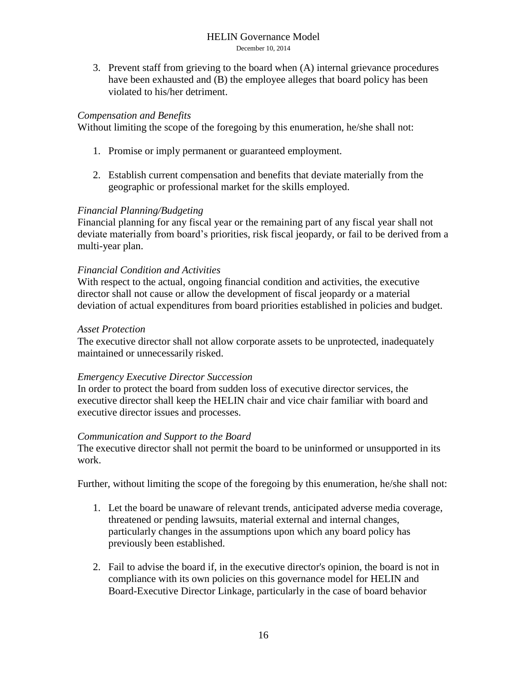3. Prevent staff from grieving to the board when (A) internal grievance procedures have been exhausted and (B) the employee alleges that board policy has been violated to his/her detriment.

#### *Compensation and Benefits*

Without limiting the scope of the foregoing by this enumeration, he/she shall not:

- 1. Promise or imply permanent or guaranteed employment.
- 2. Establish current compensation and benefits that deviate materially from the geographic or professional market for the skills employed.

#### *Financial Planning/Budgeting*

Financial planning for any fiscal year or the remaining part of any fiscal year shall not deviate materially from board's priorities, risk fiscal jeopardy, or fail to be derived from a multi-year plan.

#### *Financial Condition and Activities*

With respect to the actual, ongoing financial condition and activities, the executive director shall not cause or allow the development of fiscal jeopardy or a material deviation of actual expenditures from board priorities established in policies and budget.

#### *Asset Protection*

The executive director shall not allow corporate assets to be unprotected, inadequately maintained or unnecessarily risked.

#### *Emergency Executive Director Succession*

In order to protect the board from sudden loss of executive director services, the executive director shall keep the HELIN chair and vice chair familiar with board and executive director issues and processes.

#### *Communication and Support to the Board*

The executive director shall not permit the board to be uninformed or unsupported in its work.

Further, without limiting the scope of the foregoing by this enumeration, he/she shall not:

- 1. Let the board be unaware of relevant trends, anticipated adverse media coverage, threatened or pending lawsuits, material external and internal changes, particularly changes in the assumptions upon which any board policy has previously been established.
- 2. Fail to advise the board if, in the executive director's opinion, the board is not in compliance with its own policies on this governance model for HELIN and Board-Executive Director Linkage, particularly in the case of board behavior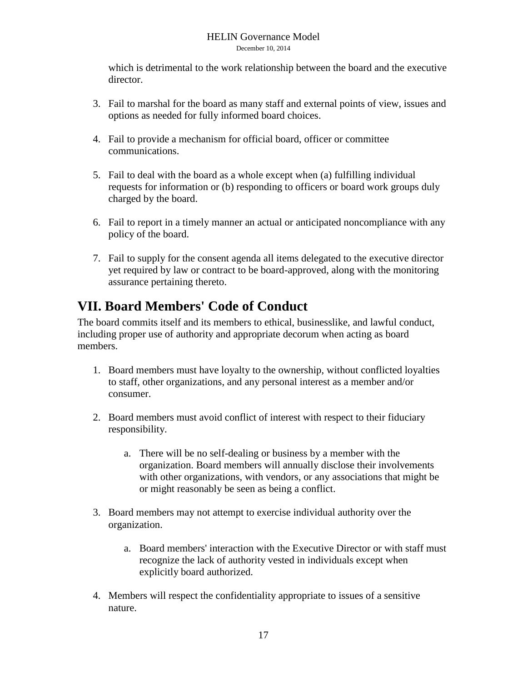which is detrimental to the work relationship between the board and the executive director.

- 3. Fail to marshal for the board as many staff and external points of view, issues and options as needed for fully informed board choices.
- 4. Fail to provide a mechanism for official board, officer or committee communications.
- 5. Fail to deal with the board as a whole except when (a) fulfilling individual requests for information or (b) responding to officers or board work groups duly charged by the board.
- 6. Fail to report in a timely manner an actual or anticipated noncompliance with any policy of the board.
- 7. Fail to supply for the consent agenda all items delegated to the executive director yet required by law or contract to be board-approved, along with the monitoring assurance pertaining thereto.

## <span id="page-17-0"></span>**VII. Board Members' Code of Conduct**

The board commits itself and its members to ethical, businesslike, and lawful conduct, including proper use of authority and appropriate decorum when acting as board members.

- 1. Board members must have loyalty to the ownership, without conflicted loyalties to staff, other organizations, and any personal interest as a member and/or consumer.
- 2. Board members must avoid conflict of interest with respect to their fiduciary responsibility.
	- a. There will be no self-dealing or business by a member with the organization. Board members will annually disclose their involvements with other organizations, with vendors, or any associations that might be or might reasonably be seen as being a conflict.
- 3. Board members may not attempt to exercise individual authority over the organization.
	- a. Board members' interaction with the Executive Director or with staff must recognize the lack of authority vested in individuals except when explicitly board authorized.
- 4. Members will respect the confidentiality appropriate to issues of a sensitive nature.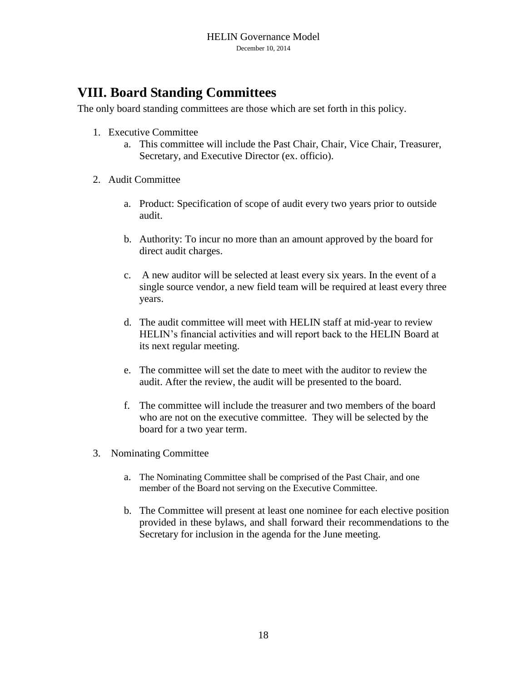## <span id="page-18-0"></span>**VIII. Board Standing Committees**

The only board standing committees are those which are set forth in this policy.

- 1. Executive Committee
	- a. This committee will include the Past Chair, Chair, Vice Chair, Treasurer, Secretary, and Executive Director (ex. officio).
- 2. Audit Committee
	- a. Product: Specification of scope of audit every two years prior to outside audit.
	- b. Authority: To incur no more than an amount approved by the board for direct audit charges.
	- c. A new auditor will be selected at least every six years. In the event of a single source vendor, a new field team will be required at least every three years.
	- d. The audit committee will meet with HELIN staff at mid-year to review HELIN's financial activities and will report back to the HELIN Board at its next regular meeting.
	- e. The committee will set the date to meet with the auditor to review the audit. After the review, the audit will be presented to the board.
	- f. The committee will include the treasurer and two members of the board who are not on the executive committee. They will be selected by the board for a two year term.
- 3. Nominating Committee
	- a. The Nominating Committee shall be comprised of the Past Chair, and one member of the Board not serving on the Executive Committee.
	- b. The Committee will present at least one nominee for each elective position provided in these bylaws, and shall forward their recommendations to the Secretary for inclusion in the agenda for the June meeting.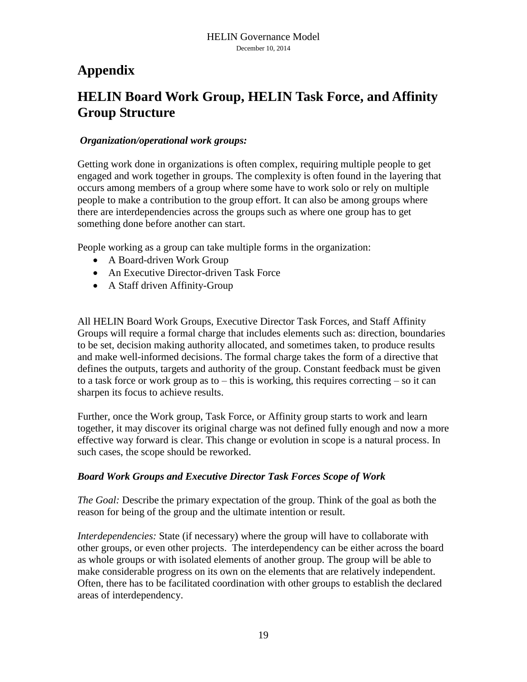## <span id="page-19-0"></span>**Appendix**

## <span id="page-19-1"></span>**HELIN Board Work Group, HELIN Task Force, and Affinity Group Structure**

#### *Organization/operational work groups:*

Getting work done in organizations is often complex, requiring multiple people to get engaged and work together in groups. The complexity is often found in the layering that occurs among members of a group where some have to work solo or rely on multiple people to make a contribution to the group effort. It can also be among groups where there are interdependencies across the groups such as where one group has to get something done before another can start.

People working as a group can take multiple forms in the organization:

- A Board-driven Work Group
- An Executive Director-driven Task Force
- A Staff driven Affinity-Group

All HELIN Board Work Groups, Executive Director Task Forces, and Staff Affinity Groups will require a formal charge that includes elements such as: direction, boundaries to be set, decision making authority allocated, and sometimes taken, to produce results and make well-informed decisions. The formal charge takes the form of a directive that defines the outputs, targets and authority of the group. Constant feedback must be given to a task force or work group as to – this is working, this requires correcting – so it can sharpen its focus to achieve results.

Further, once the Work group, Task Force, or Affinity group starts to work and learn together, it may discover its original charge was not defined fully enough and now a more effective way forward is clear. This change or evolution in scope is a natural process. In such cases, the scope should be reworked.

#### *Board Work Groups and Executive Director Task Forces Scope of Work*

*The Goal:* Describe the primary expectation of the group. Think of the goal as both the reason for being of the group and the ultimate intention or result.

*Interdependencies:* State (if necessary) where the group will have to collaborate with other groups, or even other projects. The interdependency can be either across the board as whole groups or with isolated elements of another group. The group will be able to make considerable progress on its own on the elements that are relatively independent. Often, there has to be facilitated coordination with other groups to establish the declared areas of interdependency.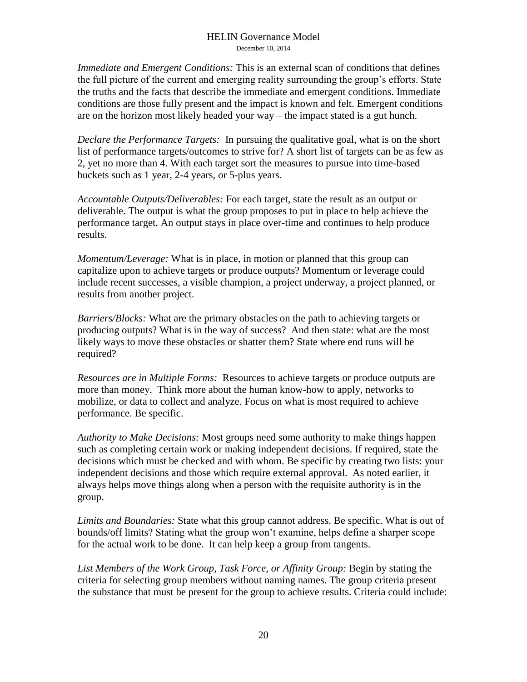*Immediate and Emergent Conditions:* This is an external scan of conditions that defines the full picture of the current and emerging reality surrounding the group's efforts. State the truths and the facts that describe the immediate and emergent conditions. Immediate conditions are those fully present and the impact is known and felt. Emergent conditions are on the horizon most likely headed your way – the impact stated is a gut hunch.

*Declare the Performance Targets:* In pursuing the qualitative goal, what is on the short list of performance targets/outcomes to strive for? A short list of targets can be as few as 2, yet no more than 4. With each target sort the measures to pursue into time-based buckets such as 1 year, 2-4 years, or 5-plus years.

*Accountable Outputs/Deliverables:* For each target, state the result as an output or deliverable. The output is what the group proposes to put in place to help achieve the performance target. An output stays in place over-time and continues to help produce results.

*Momentum/Leverage:* What is in place, in motion or planned that this group can capitalize upon to achieve targets or produce outputs? Momentum or leverage could include recent successes, a visible champion, a project underway, a project planned, or results from another project.

*Barriers/Blocks:* What are the primary obstacles on the path to achieving targets or producing outputs? What is in the way of success? And then state: what are the most likely ways to move these obstacles or shatter them? State where end runs will be required?

*Resources are in Multiple Forms:* Resources to achieve targets or produce outputs are more than money. Think more about the human know-how to apply, networks to mobilize, or data to collect and analyze. Focus on what is most required to achieve performance. Be specific.

*Authority to Make Decisions:* Most groups need some authority to make things happen such as completing certain work or making independent decisions. If required, state the decisions which must be checked and with whom. Be specific by creating two lists: your independent decisions and those which require external approval. As noted earlier, it always helps move things along when a person with the requisite authority is in the group.

*Limits and Boundaries:* State what this group cannot address. Be specific. What is out of bounds/off limits? Stating what the group won't examine, helps define a sharper scope for the actual work to be done. It can help keep a group from tangents.

*List Members of the Work Group, Task Force, or Affinity Group:* Begin by stating the criteria for selecting group members without naming names. The group criteria present the substance that must be present for the group to achieve results. Criteria could include: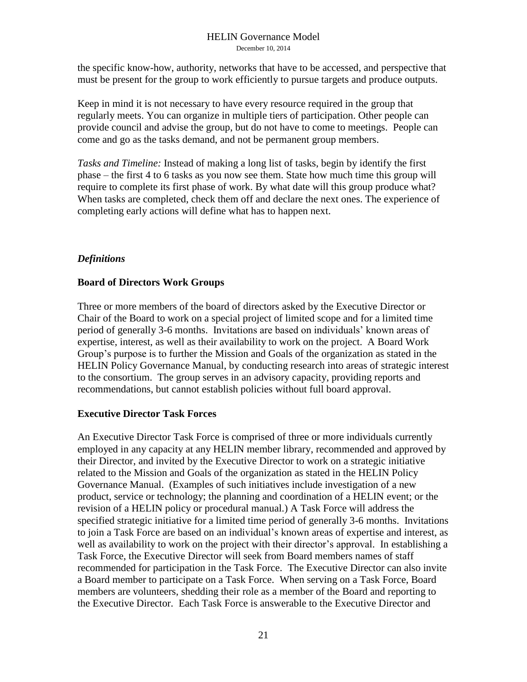the specific know-how, authority, networks that have to be accessed, and perspective that must be present for the group to work efficiently to pursue targets and produce outputs.

Keep in mind it is not necessary to have every resource required in the group that regularly meets. You can organize in multiple tiers of participation. Other people can provide council and advise the group, but do not have to come to meetings. People can come and go as the tasks demand, and not be permanent group members.

*Tasks and Timeline:* Instead of making a long list of tasks, begin by identify the first phase – the first 4 to 6 tasks as you now see them. State how much time this group will require to complete its first phase of work. By what date will this group produce what? When tasks are completed, check them off and declare the next ones. The experience of completing early actions will define what has to happen next.

#### *Definitions*

#### **Board of Directors Work Groups**

Three or more members of the board of directors asked by the Executive Director or Chair of the Board to work on a special project of limited scope and for a limited time period of generally 3-6 months. Invitations are based on individuals' known areas of expertise, interest, as well as their availability to work on the project. A Board Work Group's purpose is to further the Mission and Goals of the organization as stated in the HELIN Policy Governance Manual, by conducting research into areas of strategic interest to the consortium. The group serves in an advisory capacity, providing reports and recommendations, but cannot establish policies without full board approval.

#### **Executive Director Task Forces**

An Executive Director Task Force is comprised of three or more individuals currently employed in any capacity at any HELIN member library, recommended and approved by their Director, and invited by the Executive Director to work on a strategic initiative related to the Mission and Goals of the organization as stated in the HELIN Policy Governance Manual. (Examples of such initiatives include investigation of a new product, service or technology; the planning and coordination of a HELIN event; or the revision of a HELIN policy or procedural manual.) A Task Force will address the specified strategic initiative for a limited time period of generally 3-6 months. Invitations to join a Task Force are based on an individual's known areas of expertise and interest, as well as availability to work on the project with their director's approval. In establishing a Task Force, the Executive Director will seek from Board members names of staff recommended for participation in the Task Force. The Executive Director can also invite a Board member to participate on a Task Force. When serving on a Task Force, Board members are volunteers, shedding their role as a member of the Board and reporting to the Executive Director. Each Task Force is answerable to the Executive Director and